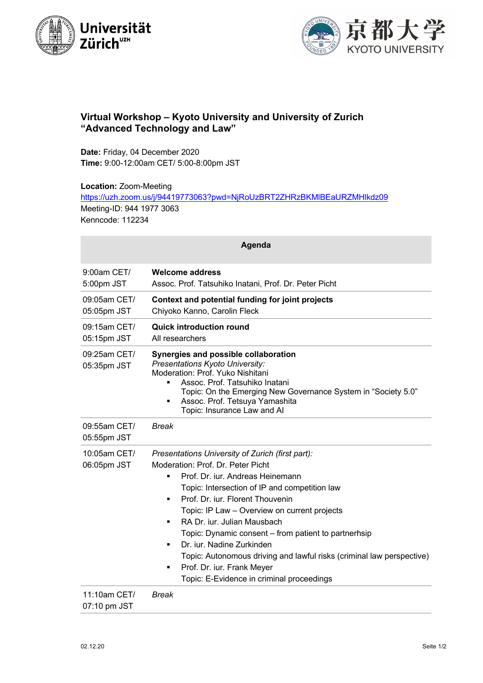



## **Virtual Workshop – Kyoto University and University of Zurich "Advanced Technology and Law"**

**Date:** Friday, 04 December 2020 **Time:** 9:00-12:00am CET/ 5:00-8:00pm JST

**Location:** Zoom-Meeting

https://uzh.zoom.us/j/94419773063?pwd=NjRoUzBRT2ZHRzBKMlBEaURZMHlkdz09 Meeting-ID: 944 1977 3063 Kenncode: 112234

| Agenda                       |                                                                                                                                                                                                                                                                                                                                                                                                                                                                                                                                                                 |  |
|------------------------------|-----------------------------------------------------------------------------------------------------------------------------------------------------------------------------------------------------------------------------------------------------------------------------------------------------------------------------------------------------------------------------------------------------------------------------------------------------------------------------------------------------------------------------------------------------------------|--|
| 9:00am CET/<br>5:00pm JST    | <b>Welcome address</b><br>Assoc. Prof. Tatsuhiko Inatani, Prof. Dr. Peter Picht                                                                                                                                                                                                                                                                                                                                                                                                                                                                                 |  |
| 09:05am CET/<br>05:05pm JST  | Context and potential funding for joint projects<br>Chiyoko Kanno, Carolin Fleck                                                                                                                                                                                                                                                                                                                                                                                                                                                                                |  |
| 09:15am CET/<br>05:15pm JST  | <b>Quick introduction round</b><br>All researchers                                                                                                                                                                                                                                                                                                                                                                                                                                                                                                              |  |
| 09:25am CET/<br>05:35pm JST  | Synergies and possible collaboration<br>Presentations Kyoto University:<br>Moderation: Prof. Yuko Nishitani<br>Assoc. Prof. Tatsuhiko Inatani<br>п<br>Topic: On the Emerging New Governance System in "Society 5.0"<br>Assoc. Prof. Tetsuya Yamashita<br>$\blacksquare$<br>Topic: Insurance Law and Al                                                                                                                                                                                                                                                          |  |
| 09:55am CET/<br>05:55pm JST  | <b>Break</b>                                                                                                                                                                                                                                                                                                                                                                                                                                                                                                                                                    |  |
| 10:05am CET/<br>06:05pm JST  | Presentations University of Zurich (first part):<br>Moderation: Prof. Dr. Peter Picht<br>Prof. Dr. iur. Andreas Heinemann<br>٠<br>Topic: Intersection of IP and competition law<br>Prof. Dr. iur. Florent Thouvenin<br>п<br>Topic: IP Law - Overview on current projects<br>RA Dr. iur. Julian Mausbach<br>٠<br>Topic: Dynamic consent – from patient to partnerhsip<br>Dr. jur. Nadine Zurkinden<br>٠<br>Topic: Autonomous driving and lawful risks (criminal law perspective)<br>Prof. Dr. iur. Frank Meyer<br>٠<br>Topic: E-Evidence in criminal proceedings |  |
| 11:10am CET/<br>07:10 pm JST | <b>Break</b>                                                                                                                                                                                                                                                                                                                                                                                                                                                                                                                                                    |  |